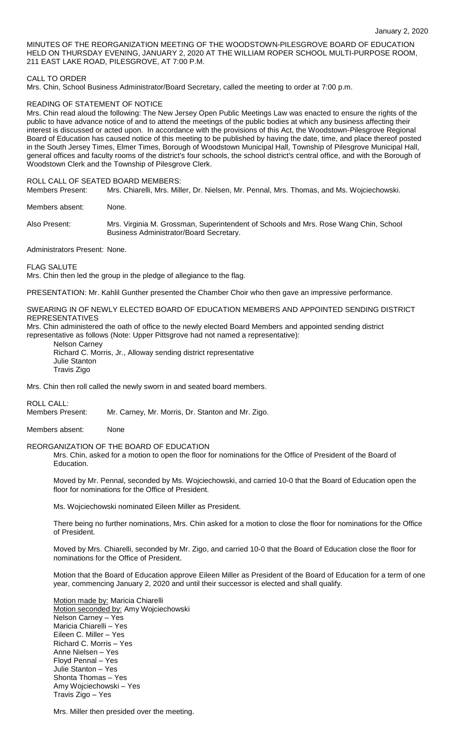MINUTES OF THE REORGANIZATION MEETING OF THE WOODSTOWN-PILESGROVE BOARD OF EDUCATION HELD ON THURSDAY EVENING, JANUARY 2, 2020 AT THE WILLIAM ROPER SCHOOL MULTI-PURPOSE ROOM, 211 EAST LAKE ROAD, PILESGROVE, AT 7:00 P.M.

### CALL TO ORDER

Mrs. Chin, School Business Administrator/Board Secretary, called the meeting to order at 7:00 p.m.

### READING OF STATEMENT OF NOTICE

Mrs. Chin read aloud the following: The New Jersey Open Public Meetings Law was enacted to ensure the rights of the public to have advance notice of and to attend the meetings of the public bodies at which any business affecting their interest is discussed or acted upon. In accordance with the provisions of this Act, the Woodstown-Pilesgrove Regional Board of Education has caused notice of this meeting to be published by having the date, time, and place thereof posted in the South Jersey Times, Elmer Times, Borough of Woodstown Municipal Hall, Township of Pilesgrove Municipal Hall, general offices and faculty rooms of the district's four schools, the school district's central office, and with the Borough of Woodstown Clerk and the Township of Pilesgrove Clerk.

#### ROLL CALL OF SEATED BOARD MEMBERS:

Members Present: Mrs. Chiarelli, Mrs. Miller, Dr. Nielsen, Mr. Pennal, Mrs. Thomas, and Ms. Wojciechowski.

Members absent: None.

Also Present: Mrs. Virginia M. Grossman, Superintendent of Schools and Mrs. Rose Wang Chin, School Business Administrator/Board Secretary.

Administrators Present: None.

FLAG SALUTE

Mrs. Chin then led the group in the pledge of allegiance to the flag.

PRESENTATION: Mr. Kahlil Gunther presented the Chamber Choir who then gave an impressive performance.

### SWEARING IN OF NEWLY ELECTED BOARD OF EDUCATION MEMBERS AND APPOINTED SENDING DISTRICT REPRESENTATIVES

Mrs. Chin administered the oath of office to the newly elected Board Members and appointed sending district representative as follows (Note: Upper Pittsgrove had not named a representative):

Nelson Carney

Richard C. Morris, Jr., Alloway sending district representative Julie Stanton Travis Zigo

Mrs. Chin then roll called the newly sworn in and seated board members.

ROLL CALL:

Members Present: Mr. Carney, Mr. Morris, Dr. Stanton and Mr. Zigo.

Members absent: None

#### REORGANIZATION OF THE BOARD OF EDUCATION

Mrs. Chin, asked for a motion to open the floor for nominations for the Office of President of the Board of Education.

Moved by Mr. Pennal, seconded by Ms. Wojciechowski, and carried 10-0 that the Board of Education open the floor for nominations for the Office of President.

Ms. Wojciechowski nominated Eileen Miller as President.

There being no further nominations, Mrs. Chin asked for a motion to close the floor for nominations for the Office of President.

Moved by Mrs. Chiarelli, seconded by Mr. Zigo, and carried 10-0 that the Board of Education close the floor for nominations for the Office of President.

Motion that the Board of Education approve Eileen Miller as President of the Board of Education for a term of one year, commencing January 2, 2020 and until their successor is elected and shall qualify.

Motion made by: Maricia Chiarelli Motion seconded by: Amy Wojciechowski Nelson Carney – Yes Maricia Chiarelli – Yes Eileen C. Miller – Yes Richard C. Morris – Yes Anne Nielsen – Yes Floyd Pennal – Yes Julie Stanton – Yes Shonta Thomas – Yes Amy Wojciechowski – Yes Travis Zigo – Yes

Mrs. Miller then presided over the meeting.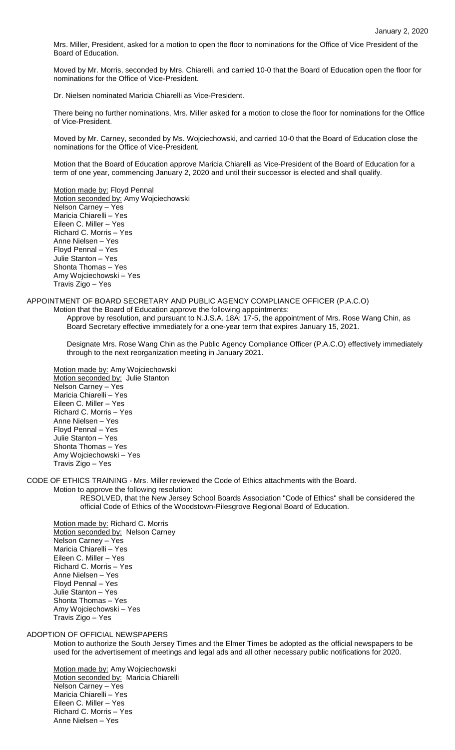Mrs. Miller, President, asked for a motion to open the floor to nominations for the Office of Vice President of the Board of Education.

Moved by Mr. Morris, seconded by Mrs. Chiarelli, and carried 10-0 that the Board of Education open the floor for nominations for the Office of Vice-President.

Dr. Nielsen nominated Maricia Chiarelli as Vice-President.

There being no further nominations, Mrs. Miller asked for a motion to close the floor for nominations for the Office of Vice-President.

Moved by Mr. Carney, seconded by Ms. Wojciechowski, and carried 10-0 that the Board of Education close the nominations for the Office of Vice-President.

Motion that the Board of Education approve Maricia Chiarelli as Vice-President of the Board of Education for a term of one year, commencing January 2, 2020 and until their successor is elected and shall qualify.

Motion made by: Floyd Pennal Motion seconded by: Amy Wojciechowski Nelson Carney – Yes Maricia Chiarelli – Yes Eileen C. Miller – Yes Richard C. Morris – Yes Anne Nielsen – Yes Floyd Pennal – Yes Julie Stanton – Yes Shonta Thomas – Yes Amy Wojciechowski – Yes Travis Zigo – Yes

# APPOINTMENT OF BOARD SECRETARY AND PUBLIC AGENCY COMPLIANCE OFFICER (P.A.C.O)

Motion that the Board of Education approve the following appointments: Approve by resolution, and pursuant to N.J.S.A. 18A: 17-5, the appointment of Mrs. Rose Wang Chin, as Board Secretary effective immediately for a one-year term that expires January 15, 2021.

Designate Mrs. Rose Wang Chin as the Public Agency Compliance Officer (P.A.C.O) effectively immediately through to the next reorganization meeting in January 2021.

Motion made by: Amy Wojciechowski Motion seconded by: Julie Stanton Nelson Carney – Yes Maricia Chiarelli – Yes Eileen C. Miller – Yes Richard C. Morris – Yes Anne Nielsen – Yes Floyd Pennal – Yes Julie Stanton – Yes Shonta Thomas – Yes Amy Wojciechowski – Yes Travis Zigo – Yes

CODE OF ETHICS TRAINING - Mrs. Miller reviewed the Code of Ethics attachments with the Board.

Motion to approve the following resolution: RESOLVED, that the New Jersey School Boards Association "Code of Ethics" shall be considered the official Code of Ethics of the Woodstown-Pilesgrove Regional Board of Education.

Motion made by: Richard C. Morris Motion seconded by: Nelson Carney Nelson Carney – Yes Maricia Chiarelli – Yes Eileen C. Miller – Yes Richard C. Morris – Yes Anne Nielsen – Yes Floyd Pennal – Yes Julie Stanton – Yes Shonta Thomas – Yes Amy Wojciechowski – Yes Travis Zigo – Yes

ADOPTION OF OFFICIAL NEWSPAPERS

Motion to authorize the South Jersey Times and the Elmer Times be adopted as the official newspapers to be used for the advertisement of meetings and legal ads and all other necessary public notifications for 2020.

Motion made by: Amy Wojciechowski Motion seconded by: Maricia Chiarelli Nelson Carney – Yes Maricia Chiarelli – Yes Eileen C. Miller – Yes Richard C. Morris – Yes Anne Nielsen – Yes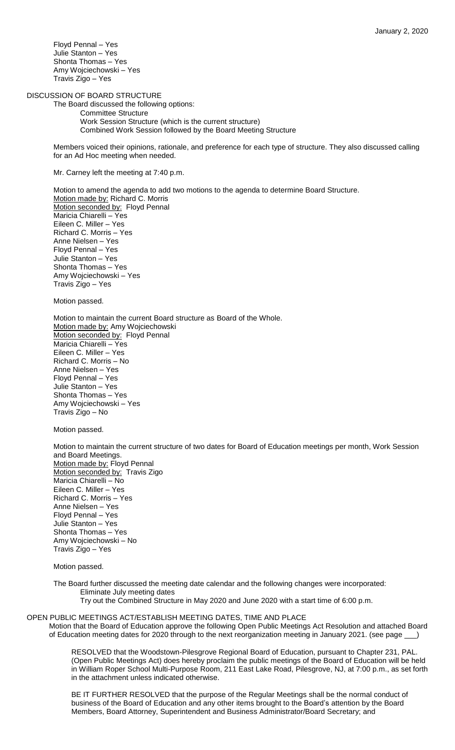Floyd Pennal – Yes Julie Stanton – Yes Shonta Thomas – Yes Amy Wojciechowski – Yes Travis Zigo – Yes

DISCUSSION OF BOARD STRUCTURE

The Board discussed the following options: Committee Structure Work Session Structure (which is the current structure) Combined Work Session followed by the Board Meeting Structure

Members voiced their opinions, rationale, and preference for each type of structure. They also discussed calling for an Ad Hoc meeting when needed.

Mr. Carney left the meeting at 7:40 p.m.

Motion to amend the agenda to add two motions to the agenda to determine Board Structure. Motion made by: Richard C. Morris Motion seconded by: Floyd Pennal Maricia Chiarelli – Yes Eileen C. Miller – Yes Richard C. Morris – Yes Anne Nielsen – Yes Floyd Pennal – Yes Julie Stanton – Yes Shonta Thomas – Yes Amy Wojciechowski – Yes Travis Zigo – Yes

Motion passed.

Motion to maintain the current Board structure as Board of the Whole. Motion made by: Amy Wojciechowski Motion seconded by: Floyd Pennal Maricia Chiarelli – Yes Eileen C. Miller – Yes Richard C. Morris – No Anne Nielsen – Yes Floyd Pennal – Yes Julie Stanton – Yes Shonta Thomas – Yes Amy Wojciechowski – Yes Travis Zigo – No

Motion passed.

Motion to maintain the current structure of two dates for Board of Education meetings per month, Work Session and Board Meetings. Motion made by: Floyd Pennal Motion seconded by: Travis Zigo Maricia Chiarelli – No Eileen C. Miller – Yes Richard C. Morris – Yes Anne Nielsen – Yes Floyd Pennal – Yes Julie Stanton – Yes Shonta Thomas – Yes Amy Wojciechowski – No Travis Zigo – Yes

Motion passed.

The Board further discussed the meeting date calendar and the following changes were incorporated: Eliminate July meeting dates

Try out the Combined Structure in May 2020 and June 2020 with a start time of 6:00 p.m.

OPEN PUBLIC MEETINGS ACT/ESTABLISH MEETING DATES, TIME AND PLACE Motion that the Board of Education approve the following Open Public Meetings Act Resolution and attached Board of Education meeting dates for 2020 through to the next reorganization meeting in January 2021. (see page \_\_\_)

> RESOLVED that the Woodstown-Pilesgrove Regional Board of Education, pursuant to Chapter 231, PAL. (Open Public Meetings Act) does hereby proclaim the public meetings of the Board of Education will be held in William Roper School Multi-Purpose Room, 211 East Lake Road, Pilesgrove, NJ, at 7:00 p.m., as set forth in the attachment unless indicated otherwise.

BE IT FURTHER RESOLVED that the purpose of the Regular Meetings shall be the normal conduct of business of the Board of Education and any other items brought to the Board's attention by the Board Members, Board Attorney, Superintendent and Business Administrator/Board Secretary; and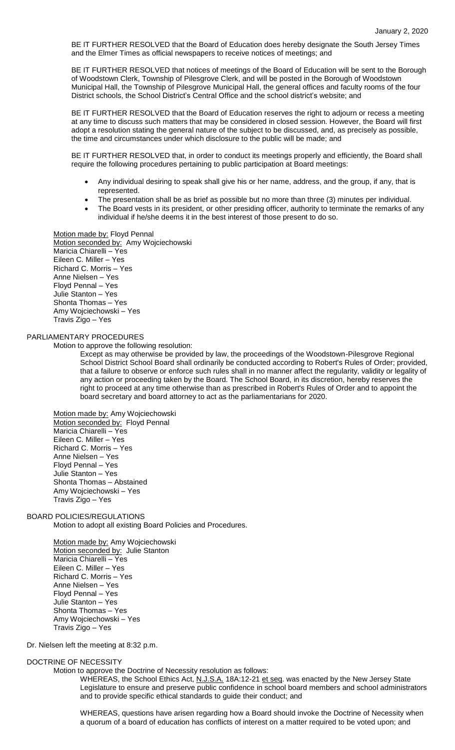BE IT FURTHER RESOLVED that the Board of Education does hereby designate the South Jersey Times and the Elmer Times as official newspapers to receive notices of meetings; and

BE IT FURTHER RESOLVED that notices of meetings of the Board of Education will be sent to the Borough of Woodstown Clerk, Township of Pilesgrove Clerk, and will be posted in the Borough of Woodstown Municipal Hall, the Township of Pilesgrove Municipal Hall, the general offices and faculty rooms of the four District schools, the School District's Central Office and the school district's website; and

BE IT FURTHER RESOLVED that the Board of Education reserves the right to adjourn or recess a meeting at any time to discuss such matters that may be considered in closed session. However, the Board will first adopt a resolution stating the general nature of the subject to be discussed, and, as precisely as possible, the time and circumstances under which disclosure to the public will be made; and

BE IT FURTHER RESOLVED that, in order to conduct its meetings properly and efficiently, the Board shall require the following procedures pertaining to public participation at Board meetings:

- Any individual desiring to speak shall give his or her name, address, and the group, if any, that is represented.
- The presentation shall be as brief as possible but no more than three (3) minutes per individual.
- The Board vests in its president, or other presiding officer, authority to terminate the remarks of any individual if he/she deems it in the best interest of those present to do so.

Motion made by: Floyd Pennal Motion seconded by: Amy Wojciechowski Maricia Chiarelli – Yes Eileen C. Miller – Yes Richard C. Morris – Yes Anne Nielsen – Yes Floyd Pennal – Yes Julie Stanton – Yes Shonta Thomas – Yes Amy Wojciechowski – Yes Travis Zigo – Yes

### PARLIAMENTARY PROCEDURES

Motion to approve the following resolution:

Except as may otherwise be provided by law, the proceedings of the Woodstown-Pilesgrove Regional School District School Board shall ordinarily be conducted according to Robert's Rules of Order; provided, that a failure to observe or enforce such rules shall in no manner affect the regularity, validity or legality of any action or proceeding taken by the Board. The School Board, in its discretion, hereby reserves the right to proceed at any time otherwise than as prescribed in Robert's Rules of Order and to appoint the board secretary and board attorney to act as the parliamentarians for 2020.

Motion made by: Amy Wojciechowski Motion seconded by: Floyd Pennal Maricia Chiarelli – Yes Eileen C. Miller – Yes Richard C. Morris – Yes Anne Nielsen – Yes Floyd Pennal – Yes Julie Stanton – Yes Shonta Thomas – Abstained Amy Wojciechowski – Yes Travis Zigo – Yes

### BOARD POLICIES/REGULATIONS

Motion to adopt all existing Board Policies and Procedures.

Motion made by: Amy Wojciechowski Motion seconded by: Julie Stanton Maricia Chiarelli – Yes Eileen C. Miller – Yes Richard C. Morris – Yes Anne Nielsen – Yes Floyd Pennal – Yes Julie Stanton – Yes Shonta Thomas – Yes Amy Wojciechowski – Yes Travis Zigo – Yes

Dr. Nielsen left the meeting at 8:32 p.m.

#### DOCTRINE OF NECESSITY

Motion to approve the Doctrine of Necessity resolution as follows:

WHEREAS, the School Ethics Act, N.J.S.A. 18A:12-21 et seq. was enacted by the New Jersey State Legislature to ensure and preserve public confidence in school board members and school administrators and to provide specific ethical standards to guide their conduct; and

WHEREAS, questions have arisen regarding how a Board should invoke the Doctrine of Necessity when a quorum of a board of education has conflicts of interest on a matter required to be voted upon; and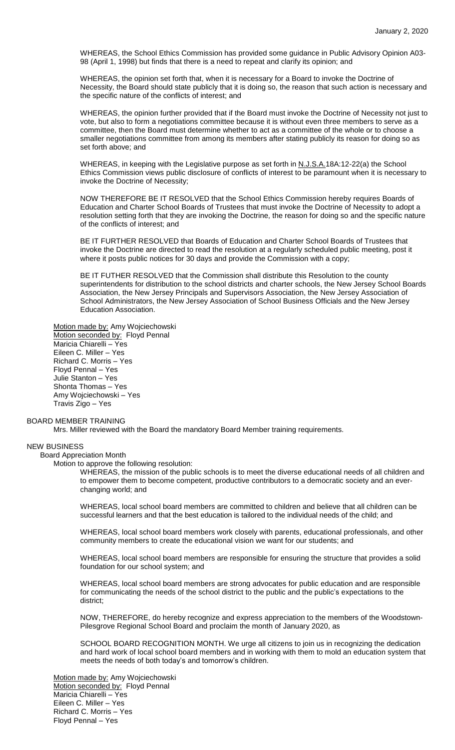WHEREAS, the School Ethics Commission has provided some guidance in Public Advisory Opinion A03- 98 (April 1, 1998) but finds that there is a need to repeat and clarify its opinion; and

WHEREAS, the opinion set forth that, when it is necessary for a Board to invoke the Doctrine of Necessity, the Board should state publicly that it is doing so, the reason that such action is necessary and the specific nature of the conflicts of interest; and

WHEREAS, the opinion further provided that if the Board must invoke the Doctrine of Necessity not just to vote, but also to form a negotiations committee because it is without even three members to serve as a committee, then the Board must determine whether to act as a committee of the whole or to choose a smaller negotiations committee from among its members after stating publicly its reason for doing so as set forth above; and

WHEREAS, in keeping with the Legislative purpose as set forth in N.J.S.A.18A:12-22(a) the School Ethics Commission views public disclosure of conflicts of interest to be paramount when it is necessary to invoke the Doctrine of Necessity;

NOW THEREFORE BE IT RESOLVED that the School Ethics Commission hereby requires Boards of Education and Charter School Boards of Trustees that must invoke the Doctrine of Necessity to adopt a resolution setting forth that they are invoking the Doctrine, the reason for doing so and the specific nature of the conflicts of interest; and

BE IT FURTHER RESOLVED that Boards of Education and Charter School Boards of Trustees that invoke the Doctrine are directed to read the resolution at a regularly scheduled public meeting, post it where it posts public notices for 30 days and provide the Commission with a copy;

BE IT FUTHER RESOLVED that the Commission shall distribute this Resolution to the county superintendents for distribution to the school districts and charter schools, the New Jersey School Boards Association, the New Jersey Principals and Supervisors Association, the New Jersey Association of School Administrators, the New Jersey Association of School Business Officials and the New Jersey Education Association.

Motion made by: Amy Wojciechowski Motion seconded by: Floyd Pennal Maricia Chiarelli – Yes Eileen C. Miller – Yes Richard C. Morris – Yes Floyd Pennal – Yes Julie Stanton – Yes Shonta Thomas – Yes Amy Wojciechowski – Yes Travis Zigo – Yes

### BOARD MEMBER TRAINING

Mrs. Miller reviewed with the Board the mandatory Board Member training requirements.

### NEW BUSINESS

## Board Appreciation Month

Motion to approve the following resolution:

WHEREAS, the mission of the public schools is to meet the diverse educational needs of all children and to empower them to become competent, productive contributors to a democratic society and an everchanging world; and

WHEREAS, local school board members are committed to children and believe that all children can be successful learners and that the best education is tailored to the individual needs of the child; and

WHEREAS, local school board members work closely with parents, educational professionals, and other community members to create the educational vision we want for our students; and

WHEREAS, local school board members are responsible for ensuring the structure that provides a solid foundation for our school system; and

WHEREAS, local school board members are strong advocates for public education and are responsible for communicating the needs of the school district to the public and the public's expectations to the district;

NOW, THEREFORE, do hereby recognize and express appreciation to the members of the Woodstown-Pilesgrove Regional School Board and proclaim the month of January 2020, as

SCHOOL BOARD RECOGNITION MONTH. We urge all citizens to join us in recognizing the dedication and hard work of local school board members and in working with them to mold an education system that meets the needs of both today's and tomorrow's children.

Motion made by: Amy Wojciechowski Motion seconded by: Floyd Pennal Maricia Chiarelli – Yes Eileen C. Miller – Yes Richard C. Morris – Yes Floyd Pennal – Yes